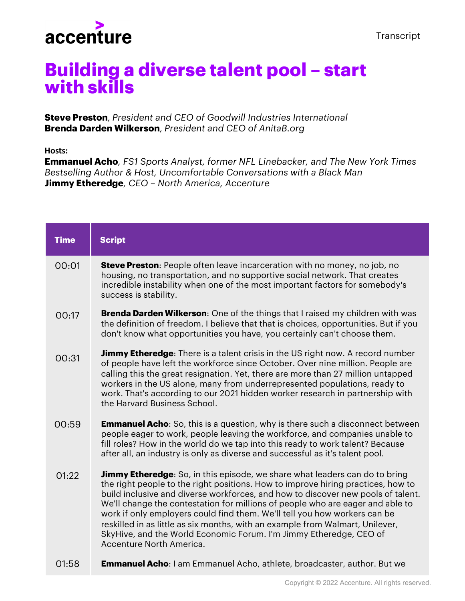

## **Building a diverse talent pool – start with skills**

**Steve Preston***, President and CEO of Goodwill Industries International* **Brenda Darden Wilkerson***, President and CEO of AnitaB.org*

**Hosts:**

**Emmanuel Acho***, FS1 Sports Analyst, former NFL Linebacker, and The New York Times Bestselling Author & Host, Uncomfortable Conversations with a Black Man* **Jimmy Etheredge***, CEO – North America, Accenture*

| <b>Time</b> | <b>Script</b>                                                                                                                                                                                                                                                                                                                                                                                                                                                                                                                                                                                                |
|-------------|--------------------------------------------------------------------------------------------------------------------------------------------------------------------------------------------------------------------------------------------------------------------------------------------------------------------------------------------------------------------------------------------------------------------------------------------------------------------------------------------------------------------------------------------------------------------------------------------------------------|
| 00:01       | <b>Steve Preston:</b> People often leave incarceration with no money, no job, no<br>housing, no transportation, and no supportive social network. That creates<br>incredible instability when one of the most important factors for somebody's<br>success is stability.                                                                                                                                                                                                                                                                                                                                      |
| 00:17       | <b>Brenda Darden Wilkerson:</b> One of the things that I raised my children with was<br>the definition of freedom. I believe that that is choices, opportunities. But if you<br>don't know what opportunities you have, you certainly can't choose them.                                                                                                                                                                                                                                                                                                                                                     |
| 00:31       | <b>Jimmy Etheredge:</b> There is a talent crisis in the US right now. A record number<br>of people have left the workforce since October. Over nine million. People are<br>calling this the great resignation. Yet, there are more than 27 million untapped<br>workers in the US alone, many from underrepresented populations, ready to<br>work. That's according to our 2021 hidden worker research in partnership with<br>the Harvard Business School.                                                                                                                                                    |
| 00:59       | <b>Emmanuel Acho:</b> So, this is a question, why is there such a disconnect between<br>people eager to work, people leaving the workforce, and companies unable to<br>fill roles? How in the world do we tap into this ready to work talent? Because<br>after all, an industry is only as diverse and successful as it's talent pool.                                                                                                                                                                                                                                                                       |
| 01:22       | <b>Jimmy Etheredge:</b> So, in this episode, we share what leaders can do to bring<br>the right people to the right positions. How to improve hiring practices, how to<br>build inclusive and diverse workforces, and how to discover new pools of talent.<br>We'll change the contestation for millions of people who are eager and able to<br>work if only employers could find them. We'll tell you how workers can be<br>reskilled in as little as six months, with an example from Walmart, Unilever,<br>SkyHive, and the World Economic Forum. I'm Jimmy Etheredge, CEO of<br>Accenture North America. |
| 01:58       | <b>Emmanuel Acho:</b> I am Emmanuel Acho, athlete, broadcaster, author. But we                                                                                                                                                                                                                                                                                                                                                                                                                                                                                                                               |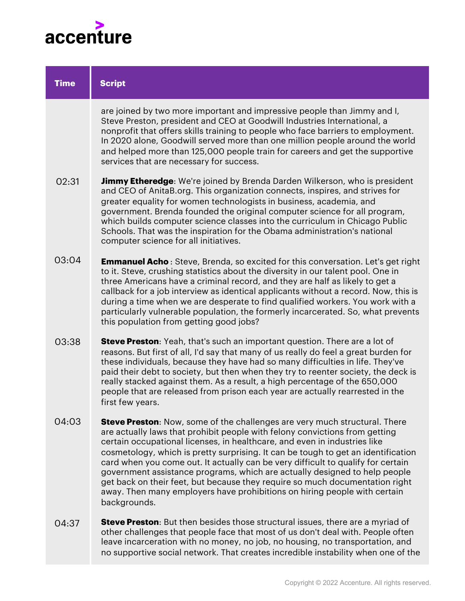

| <b>Time</b> | <b>Script</b>                                                                                                                                                                                                                                                                                                                                                                                                                                                                                                                                                                                                                                                                     |
|-------------|-----------------------------------------------------------------------------------------------------------------------------------------------------------------------------------------------------------------------------------------------------------------------------------------------------------------------------------------------------------------------------------------------------------------------------------------------------------------------------------------------------------------------------------------------------------------------------------------------------------------------------------------------------------------------------------|
|             | are joined by two more important and impressive people than Jimmy and I,<br>Steve Preston, president and CEO at Goodwill Industries International, a<br>nonprofit that offers skills training to people who face barriers to employment.<br>In 2020 alone, Goodwill served more than one million people around the world<br>and helped more than 125,000 people train for careers and get the supportive<br>services that are necessary for success.                                                                                                                                                                                                                              |
| 02:31       | <b>Jimmy Etheredge</b> : We're joined by Brenda Darden Wilkerson, who is president<br>and CEO of AnitaB.org. This organization connects, inspires, and strives for<br>greater equality for women technologists in business, academia, and<br>government. Brenda founded the original computer science for all program,<br>which builds computer science classes into the curriculum in Chicago Public<br>Schools. That was the inspiration for the Obama administration's national<br>computer science for all initiatives.                                                                                                                                                       |
| 03:04       | <b>Emmanuel Acho</b> : Steve, Brenda, so excited for this conversation. Let's get right<br>to it. Steve, crushing statistics about the diversity in our talent pool. One in<br>three Americans have a criminal record, and they are half as likely to get a<br>callback for a job interview as identical applicants without a record. Now, this is<br>during a time when we are desperate to find qualified workers. You work with a<br>particularly vulnerable population, the formerly incarcerated. So, what prevents<br>this population from getting good jobs?                                                                                                               |
| 03:38       | <b>Steve Preston</b> : Yeah, that's such an important question. There are a lot of<br>reasons. But first of all, I'd say that many of us really do feel a great burden for<br>these individuals, because they have had so many difficulties in life. They've<br>paid their debt to society, but then when they try to reenter society, the deck is<br>really stacked against them. As a result, a high percentage of the 650,000<br>people that are released from prison each year are actually rearrested in the<br>first few years.                                                                                                                                             |
| 04:03       | <b>Steve Preston:</b> Now, some of the challenges are very much structural. There<br>are actually laws that prohibit people with felony convictions from getting<br>certain occupational licenses, in healthcare, and even in industries like<br>cosmetology, which is pretty surprising. It can be tough to get an identification<br>card when you come out. It actually can be very difficult to qualify for certain<br>government assistance programs, which are actually designed to help people<br>get back on their feet, but because they require so much documentation right<br>away. Then many employers have prohibitions on hiring people with certain<br>backgrounds. |
| 04:37       | <b>Steve Preston</b> : But then besides those structural issues, there are a myriad of<br>other challenges that people face that most of us don't deal with. People often<br>leave incarceration with no money, no job, no housing, no transportation, and                                                                                                                                                                                                                                                                                                                                                                                                                        |

no supportive social network. That creates incredible instability when one of the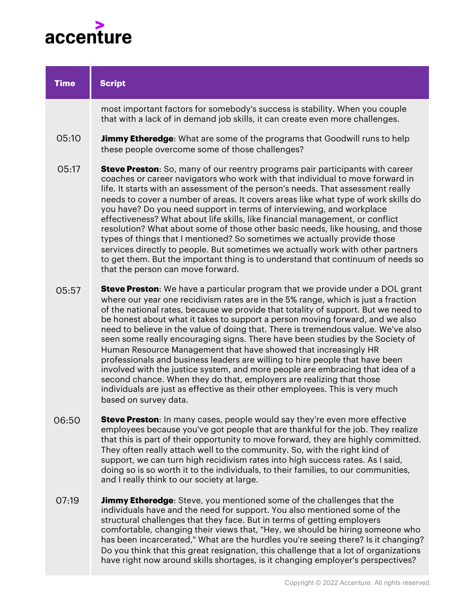

| <b>Time</b> | <b>Script</b>                                                                                                                                                                                                                                                                                                                                                                                                                                                                                                                                                                                                                                                                                                                                                                                                                                                                                                                                 |
|-------------|-----------------------------------------------------------------------------------------------------------------------------------------------------------------------------------------------------------------------------------------------------------------------------------------------------------------------------------------------------------------------------------------------------------------------------------------------------------------------------------------------------------------------------------------------------------------------------------------------------------------------------------------------------------------------------------------------------------------------------------------------------------------------------------------------------------------------------------------------------------------------------------------------------------------------------------------------|
|             | most important factors for somebody's success is stability. When you couple<br>that with a lack of in demand job skills, it can create even more challenges.                                                                                                                                                                                                                                                                                                                                                                                                                                                                                                                                                                                                                                                                                                                                                                                  |
| 05:10       | <b>Jimmy Etheredge:</b> What are some of the programs that Goodwill runs to help<br>these people overcome some of those challenges?                                                                                                                                                                                                                                                                                                                                                                                                                                                                                                                                                                                                                                                                                                                                                                                                           |
| 05:17       | <b>Steve Preston:</b> So, many of our reentry programs pair participants with career<br>coaches or career navigators who work with that individual to move forward in<br>life. It starts with an assessment of the person's needs. That assessment really<br>needs to cover a number of areas. It covers areas like what type of work skills do<br>you have? Do you need support in terms of interviewing, and workplace<br>effectiveness? What about life skills, like financial management, or conflict<br>resolution? What about some of those other basic needs, like housing, and those<br>types of things that I mentioned? So sometimes we actually provide those<br>services directly to people. But sometimes we actually work with other partners<br>to get them. But the important thing is to understand that continuum of needs so<br>that the person can move forward.                                                          |
| 05:57       | <b>Steve Preston:</b> We have a particular program that we provide under a DOL grant<br>where our year one recidivism rates are in the 5% range, which is just a fraction<br>of the national rates, because we provide that totality of support. But we need to<br>be honest about what it takes to support a person moving forward, and we also<br>need to believe in the value of doing that. There is tremendous value. We've also<br>seen some really encouraging signs. There have been studies by the Society of<br>Human Resource Management that have showed that increasingly HR<br>professionals and business leaders are willing to hire people that have been<br>involved with the justice system, and more people are embracing that idea of a<br>second chance. When they do that, employers are realizing that those<br>individuals are just as effective as their other employees. This is very much<br>based on survey data. |
| 06:50       | <b>Steve Preston:</b> In many cases, people would say they're even more effective<br>employees because you've got people that are thankful for the job. They realize<br>that this is part of their opportunity to move forward, they are highly committed.<br>They often really attach well to the community. So, with the right kind of<br>support, we can turn high recidivism rates into high success rates. As I said,<br>doing so is so worth it to the individuals, to their families, to our communities,<br>and I really think to our society at large.                                                                                                                                                                                                                                                                                                                                                                               |
| 07:19       | <b>Jimmy Etheredge:</b> Steve, you mentioned some of the challenges that the<br>individuals have and the need for support. You also mentioned some of the                                                                                                                                                                                                                                                                                                                                                                                                                                                                                                                                                                                                                                                                                                                                                                                     |

individuals have and the need for support. You also mentioned some of the structural challenges that they face. But in terms of getting employers comfortable, changing their views that, "Hey, we should be hiring someone who has been incarcerated," What are the hurdles you're seeing there? Is it changing? Do you think that this great resignation, this challenge that a lot of organizations have right now around skills shortages, is it changing employer's perspectives?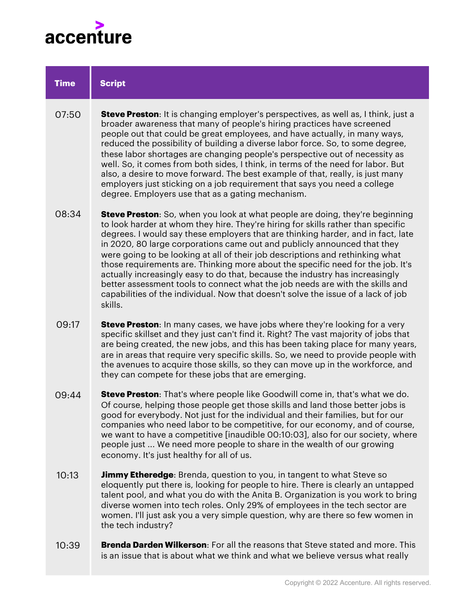

| <b>Time</b> | <b>Script</b>                                                                                                                                                                                                                                                                                                                                                                                                                                                                                                                                                                                                                                                                                                                                                                |
|-------------|------------------------------------------------------------------------------------------------------------------------------------------------------------------------------------------------------------------------------------------------------------------------------------------------------------------------------------------------------------------------------------------------------------------------------------------------------------------------------------------------------------------------------------------------------------------------------------------------------------------------------------------------------------------------------------------------------------------------------------------------------------------------------|
| 07:50       | <b>Steve Preston</b> : It is changing employer's perspectives, as well as, I think, just a<br>broader awareness that many of people's hiring practices have screened<br>people out that could be great employees, and have actually, in many ways,<br>reduced the possibility of building a diverse labor force. So, to some degree,<br>these labor shortages are changing people's perspective out of necessity as<br>well. So, it comes from both sides, I think, in terms of the need for labor. But<br>also, a desire to move forward. The best example of that, really, is just many<br>employers just sticking on a job requirement that says you need a college<br>degree. Employers use that as a gating mechanism.                                                  |
| 08:34       | <b>Steve Preston:</b> So, when you look at what people are doing, they're beginning<br>to look harder at whom they hire. They're hiring for skills rather than specific<br>degrees. I would say these employers that are thinking harder, and in fact, late<br>in 2020, 80 large corporations came out and publicly announced that they<br>were going to be looking at all of their job descriptions and rethinking what<br>those requirements are. Thinking more about the specific need for the job. It's<br>actually increasingly easy to do that, because the industry has increasingly<br>better assessment tools to connect what the job needs are with the skills and<br>capabilities of the individual. Now that doesn't solve the issue of a lack of job<br>skills. |
| 09:17       | <b>Steve Preston:</b> In many cases, we have jobs where they're looking for a very<br>specific skillset and they just can't find it. Right? The vast majority of jobs that<br>are being created, the new jobs, and this has been taking place for many years,<br>are in areas that require very specific skills. So, we need to provide people with<br>the avenues to acquire those skills, so they can move up in the workforce, and<br>they can compete for these jobs that are emerging.                                                                                                                                                                                                                                                                                  |
| 09:44       | <b>Steve Preston:</b> That's where people like Goodwill come in, that's what we do.<br>Of course, helping those people get those skills and land those better jobs is<br>good for everybody. Not just for the individual and their families, but for our<br>companies who need labor to be competitive, for our economy, and of course,<br>we want to have a competitive [inaudible 00:10:03], also for our society, where<br>people just  We need more people to share in the wealth of our growing                                                                                                                                                                                                                                                                         |

**Jimmy Etheredge**: Brenda, question to you, in tangent to what Steve so eloquently put there is, looking for people to hire. There is clearly an untapped talent pool, and what you do with the Anita B. Organization is you work to bring diverse women into tech roles. Only 29% of employees in the tech sector are women. I'll just ask you a very simple question, why are there so few women in the tech industry? 10:13

economy. It's just healthy for all of us.

**Brenda Darden Wilkerson**: For all the reasons that Steve stated and more. This is an issue that is about what we think and what we believe versus what really 10:39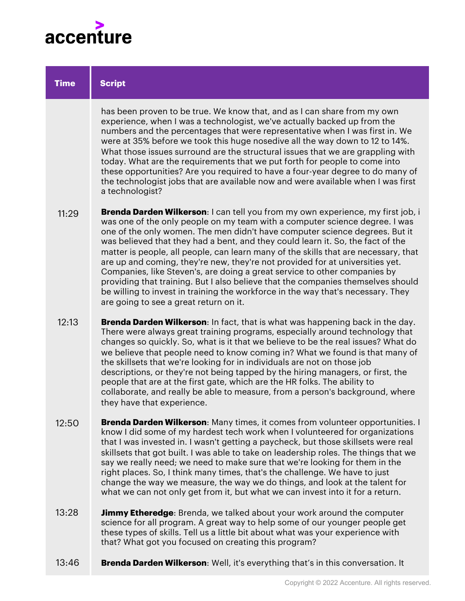

| <b>Time</b> | <b>Script</b>                                                                                                                                                                                                                                                                                                                                                                                                                                                                                                                                                                                                                                                                                                                                                                                                  |
|-------------|----------------------------------------------------------------------------------------------------------------------------------------------------------------------------------------------------------------------------------------------------------------------------------------------------------------------------------------------------------------------------------------------------------------------------------------------------------------------------------------------------------------------------------------------------------------------------------------------------------------------------------------------------------------------------------------------------------------------------------------------------------------------------------------------------------------|
|             | has been proven to be true. We know that, and as I can share from my own<br>experience, when I was a technologist, we've actually backed up from the<br>numbers and the percentages that were representative when I was first in. We<br>were at 35% before we took this huge nosedive all the way down to 12 to 14%.<br>What those issues surround are the structural issues that we are grappling with<br>today. What are the requirements that we put forth for people to come into<br>these opportunities? Are you required to have a four-year degree to do many of<br>the technologist jobs that are available now and were available when I was first<br>a technologist?                                                                                                                                 |
| 11:29       | <b>Brenda Darden Wilkerson:</b> I can tell you from my own experience, my first job, i<br>was one of the only people on my team with a computer science degree. I was<br>one of the only women. The men didn't have computer science degrees. But it<br>was believed that they had a bent, and they could learn it. So, the fact of the<br>matter is people, all people, can learn many of the skills that are necessary, that<br>are up and coming, they're new, they're not provided for at universities yet.<br>Companies, like Steven's, are doing a great service to other companies by<br>providing that training. But I also believe that the companies themselves should<br>be willing to invest in training the workforce in the way that's necessary. They<br>are going to see a great return on it. |
| 12:13       | <b>Brenda Darden Wilkerson:</b> In fact, that is what was happening back in the day.<br>There were always great training programs, especially around technology that<br>changes so quickly. So, what is it that we believe to be the real issues? What do<br>we believe that people need to know coming in? What we found is that many of<br>the skillsets that we're looking for in individuals are not on those job<br>descriptions, or they're not being tapped by the hiring managers, or first, the<br>people that are at the first gate, which are the HR folks. The ability to<br>collaborate, and really be able to measure, from a person's background, where<br>they have that experience.                                                                                                           |
| 12:50       | <b>Brenda Darden Wilkerson:</b> Many times, it comes from volunteer opportunities. I<br>know I did some of my hardest tech work when I volunteered for organizations<br>that I was invested in. I wasn't getting a paycheck, but those skillsets were real<br>skillsets that got built. I was able to take on leadership roles. The things that we<br>say we really need; we need to make sure that we're looking for them in the<br>right places. So, I think many times, that's the challenge. We have to just<br>change the way we measure, the way we do things, and look at the talent for<br>what we can not only get from it, but what we can invest into it for a return.                                                                                                                              |
| 13:28       | <b>Jimmy Etheredge:</b> Brenda, we talked about your work around the computer<br>science for all program. A great way to help some of our younger people get<br>these types of skills. Tell us a little bit about what was your experience with                                                                                                                                                                                                                                                                                                                                                                                                                                                                                                                                                                |

**Brenda Darden Wilkerson**: Well, it's everything that's in this conversation. It 13:46

that? What got you focused on creating this program?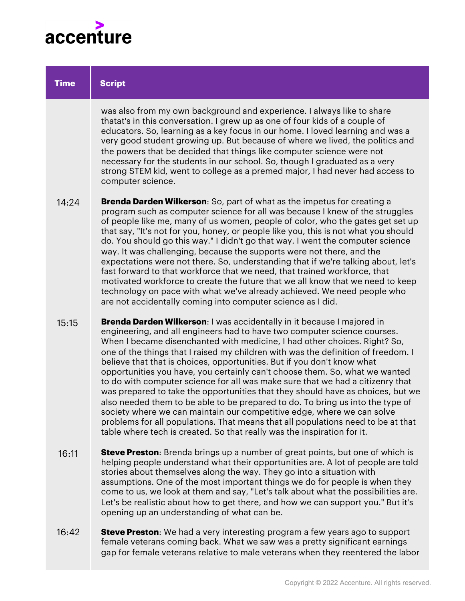

| <b>Time</b> | <b>Script</b>                                                                                                                                                                                                                                                                                                                                                                                                                                                                                                                                                                                                                                                                                                                                                                                                                                                                                                                                                                  |
|-------------|--------------------------------------------------------------------------------------------------------------------------------------------------------------------------------------------------------------------------------------------------------------------------------------------------------------------------------------------------------------------------------------------------------------------------------------------------------------------------------------------------------------------------------------------------------------------------------------------------------------------------------------------------------------------------------------------------------------------------------------------------------------------------------------------------------------------------------------------------------------------------------------------------------------------------------------------------------------------------------|
|             | was also from my own background and experience. I always like to share<br>thatat's in this conversation. I grew up as one of four kids of a couple of<br>educators. So, learning as a key focus in our home. I loved learning and was a<br>very good student growing up. But because of where we lived, the politics and<br>the powers that be decided that things like computer science were not<br>necessary for the students in our school. So, though I graduated as a very<br>strong STEM kid, went to college as a premed major, I had never had access to<br>computer science.                                                                                                                                                                                                                                                                                                                                                                                          |
| 14:24       | <b>Brenda Darden Wilkerson:</b> So, part of what as the impetus for creating a<br>program such as computer science for all was because I knew of the struggles<br>of people like me, many of us women, people of color, who the gates get set up<br>that say, "It's not for you, honey, or people like you, this is not what you should<br>do. You should go this way." I didn't go that way. I went the computer science<br>way. It was challenging, because the supports were not there, and the<br>expectations were not there. So, understanding that if we're talking about, let's<br>fast forward to that workforce that we need, that trained workforce, that<br>motivated workforce to create the future that we all know that we need to keep<br>technology on pace with what we've already achieved. We need people who<br>are not accidentally coming into computer science as I did.                                                                               |
| 15:15       | Brenda Darden Wilkerson: I was accidentally in it because I majored in<br>engineering, and all engineers had to have two computer science courses.<br>When I became disenchanted with medicine, I had other choices. Right? So,<br>one of the things that I raised my children with was the definition of freedom. I<br>believe that that is choices, opportunities. But if you don't know what<br>opportunities you have, you certainly can't choose them. So, what we wanted<br>to do with computer science for all was make sure that we had a citizenry that<br>was prepared to take the opportunities that they should have as choices, but we<br>also needed them to be able to be prepared to do. To bring us into the type of<br>society where we can maintain our competitive edge, where we can solve<br>problems for all populations. That means that all populations need to be at that<br>table where tech is created. So that really was the inspiration for it. |
| 16:11       | <b>Steve Preston:</b> Brenda brings up a number of great points, but one of which is<br>helping people understand what their opportunities are. A lot of people are told<br>stories about themselves along the way. They go into a situation with<br>assumptions. One of the most important things we do for people is when they<br>come to us, we look at them and say, "Let's talk about what the possibilities are.<br>Let's be realistic about how to get there, and how we can support you." But it's<br>opening up an understanding of what can be.                                                                                                                                                                                                                                                                                                                                                                                                                      |

**Steve Preston**: We had a very interesting program a few years ago to support female veterans coming back. What we saw was a pretty significant earnings gap for female veterans relative to male veterans when they reentered the labor 16:42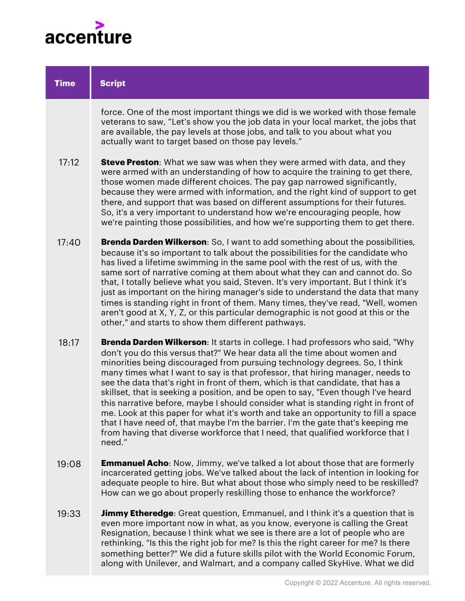

| <b>Time</b> | <b>Script</b>                                                                                                                                                                                                                                                                                                                                                                                                                                                                                                                                                                                                                                                                                                                                                                                                                                                         |
|-------------|-----------------------------------------------------------------------------------------------------------------------------------------------------------------------------------------------------------------------------------------------------------------------------------------------------------------------------------------------------------------------------------------------------------------------------------------------------------------------------------------------------------------------------------------------------------------------------------------------------------------------------------------------------------------------------------------------------------------------------------------------------------------------------------------------------------------------------------------------------------------------|
|             | force. One of the most important things we did is we worked with those female<br>veterans to saw, "Let's show you the job data in your local market, the jobs that<br>are available, the pay levels at those jobs, and talk to you about what you<br>actually want to target based on those pay levels."                                                                                                                                                                                                                                                                                                                                                                                                                                                                                                                                                              |
| 17:12       | Steve Preston: What we saw was when they were armed with data, and they<br>were armed with an understanding of how to acquire the training to get there,<br>those women made different choices. The pay gap narrowed significantly,<br>because they were armed with information, and the right kind of support to get<br>there, and support that was based on different assumptions for their futures.<br>So, it's a very important to understand how we're encouraging people, how<br>we're painting those possibilities, and how we're supporting them to get there.                                                                                                                                                                                                                                                                                                |
| 17:40       | <b>Brenda Darden Wilkerson:</b> So, I want to add something about the possibilities,<br>because it's so important to talk about the possibilities for the candidate who<br>has lived a lifetime swimming in the same pool with the rest of us, with the<br>same sort of narrative coming at them about what they can and cannot do. So<br>that, I totally believe what you said, Steven. It's very important. But I think it's<br>just as important on the hiring manager's side to understand the data that many<br>times is standing right in front of them. Many times, they've read, "Well, women<br>aren't good at X, Y, Z, or this particular demographic is not good at this or the<br>other," and starts to show them different pathways.                                                                                                                     |
| 18:17       | <b>Brenda Darden Wilkerson:</b> It starts in college. I had professors who said, "Why<br>don't you do this versus that?" We hear data all the time about women and<br>minorities being discouraged from pursuing technology degrees. So, I think<br>many times what I want to say is that professor, that hiring manager, needs to<br>see the data that's right in front of them, which is that candidate, that has a<br>skillset, that is seeking a position, and be open to say, "Even though I've heard<br>this narrative before, maybe I should consider what is standing right in front of<br>me. Look at this paper for what it's worth and take an opportunity to fill a space<br>that I have need of, that maybe I'm the barrier. I'm the gate that's keeping me<br>from having that diverse workforce that I need, that qualified workforce that I<br>need." |
| 19:08       | <b>Emmanuel Acho:</b> Now, Jimmy, we've talked a lot about those that are formerly<br>incarcerated getting jobs. We've talked about the lack of intention in looking for<br>adequate people to hire. But what about those who simply need to be reskilled?<br>How can we go about properly reskilling those to enhance the workforce?                                                                                                                                                                                                                                                                                                                                                                                                                                                                                                                                 |
| 19:33       | <b>Jimmy Etheredge:</b> Great question, Emmanuel, and I think it's a question that is<br>even more important now in what, as you know, everyone is calling the Great<br>Resignation, because I think what we see is there are a lot of people who are<br>rethinking, "Is this the right job for me? Is this the right career for me? Is there<br>something better?" We did a future skills pilot with the World Economic Forum,<br>along with Unilever, and Walmart, and a company called SkyHive. What we did                                                                                                                                                                                                                                                                                                                                                        |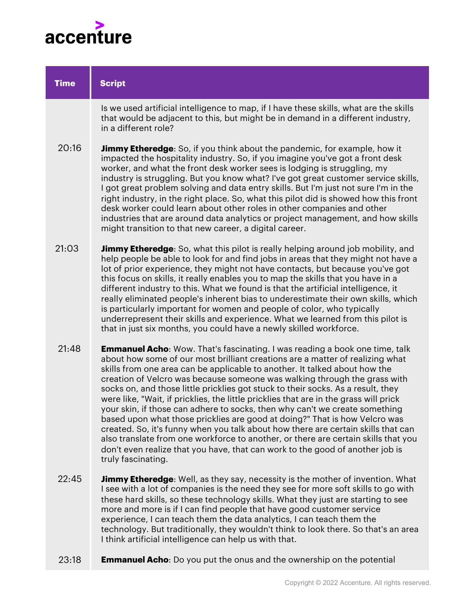

| <b>Time</b> | <b>Script</b>                                                                                                                                                                                                                                                                                                                                                                                                                                                                                                                                                                                                                                                                                                                                                                                                                                                                                                                                       |
|-------------|-----------------------------------------------------------------------------------------------------------------------------------------------------------------------------------------------------------------------------------------------------------------------------------------------------------------------------------------------------------------------------------------------------------------------------------------------------------------------------------------------------------------------------------------------------------------------------------------------------------------------------------------------------------------------------------------------------------------------------------------------------------------------------------------------------------------------------------------------------------------------------------------------------------------------------------------------------|
|             | Is we used artificial intelligence to map, if I have these skills, what are the skills<br>that would be adjacent to this, but might be in demand in a different industry,<br>in a different role?                                                                                                                                                                                                                                                                                                                                                                                                                                                                                                                                                                                                                                                                                                                                                   |
| 20:16       | <b>Jimmy Etheredge:</b> So, if you think about the pandemic, for example, how it<br>impacted the hospitality industry. So, if you imagine you've got a front desk<br>worker, and what the front desk worker sees is lodging is struggling, my<br>industry is struggling. But you know what? I've got great customer service skills,<br>I got great problem solving and data entry skills. But I'm just not sure I'm in the<br>right industry, in the right place. So, what this pilot did is showed how this front<br>desk worker could learn about other roles in other companies and other<br>industries that are around data analytics or project management, and how skills<br>might transition to that new career, a digital career.                                                                                                                                                                                                           |
| 21:03       | <b>Jimmy Etheredge</b> : So, what this pilot is really helping around job mobility, and<br>help people be able to look for and find jobs in areas that they might not have a<br>lot of prior experience, they might not have contacts, but because you've got<br>this focus on skills, it really enables you to map the skills that you have in a<br>different industry to this. What we found is that the artificial intelligence, it<br>really eliminated people's inherent bias to underestimate their own skills, which<br>is particularly important for women and people of color, who typically<br>underrepresent their skills and experience. What we learned from this pilot is<br>that in just six months, you could have a newly skilled workforce.                                                                                                                                                                                       |
| 21:48       | Emmanuel Acho: Wow. That's fascinating. I was reading a book one time, talk<br>about how some of our most brilliant creations are a matter of realizing what<br>skills from one area can be applicable to another. It talked about how the<br>creation of Velcro was because someone was walking through the grass with<br>socks on, and those little pricklies got stuck to their socks. As a result, they<br>were like, "Wait, if pricklies, the little pricklies that are in the grass will prick<br>your skin, if those can adhere to socks, then why can't we create something<br>based upon what those pricklies are good at doing?" That is how Velcro was<br>created. So, it's funny when you talk about how there are certain skills that can<br>also translate from one workforce to another, or there are certain skills that you<br>don't even realize that you have, that can work to the good of another job is<br>truly fascinating. |
| 22:45       | <b>Jimmy Etheredge:</b> Well, as they say, necessity is the mother of invention. What<br>I see with a lot of companies is the need they see for more soft skills to go with<br>these hard skills, so these technology skills. What they just are starting to see<br>more and more is if I can find people that have good customer service<br>experience, I can teach them the data analytics, I can teach them the<br>technology. But traditionally, they wouldn't think to look there. So that's an area                                                                                                                                                                                                                                                                                                                                                                                                                                           |

**Emmanuel Acho**: Do you put the onus and the ownership on the potential 23:18

I think artificial intelligence can help us with that.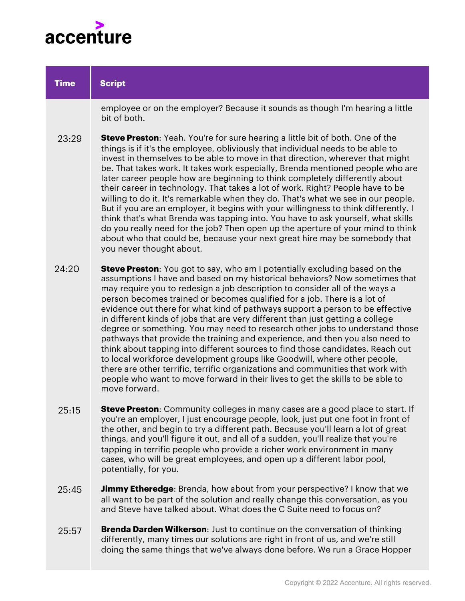

| <b>Time</b> | <b>Script</b>                                                                                                                                                                                                                                                                                                                                                                                                                                                                                                                                                                                                                                                                                                                                                                                                                                                                                                                                                                                                      |
|-------------|--------------------------------------------------------------------------------------------------------------------------------------------------------------------------------------------------------------------------------------------------------------------------------------------------------------------------------------------------------------------------------------------------------------------------------------------------------------------------------------------------------------------------------------------------------------------------------------------------------------------------------------------------------------------------------------------------------------------------------------------------------------------------------------------------------------------------------------------------------------------------------------------------------------------------------------------------------------------------------------------------------------------|
|             | employee or on the employer? Because it sounds as though I'm hearing a little<br>bit of both.                                                                                                                                                                                                                                                                                                                                                                                                                                                                                                                                                                                                                                                                                                                                                                                                                                                                                                                      |
| 23:29       | <b>Steve Preston:</b> Yeah. You're for sure hearing a little bit of both. One of the<br>things is if it's the employee, obliviously that individual needs to be able to<br>invest in themselves to be able to move in that direction, wherever that might<br>be. That takes work. It takes work especially, Brenda mentioned people who are<br>later career people how are beginning to think completely differently about<br>their career in technology. That takes a lot of work. Right? People have to be<br>willing to do it. It's remarkable when they do. That's what we see in our people.<br>But if you are an employer, it begins with your willingness to think differently. I<br>think that's what Brenda was tapping into. You have to ask yourself, what skills<br>do you really need for the job? Then open up the aperture of your mind to think<br>about who that could be, because your next great hire may be somebody that<br>you never thought about.                                          |
| 24:20       | <b>Steve Preston:</b> You got to say, who am I potentially excluding based on the<br>assumptions I have and based on my historical behaviors? Now sometimes that<br>may require you to redesign a job description to consider all of the ways a<br>person becomes trained or becomes qualified for a job. There is a lot of<br>evidence out there for what kind of pathways support a person to be effective<br>in different kinds of jobs that are very different than just getting a college<br>degree or something. You may need to research other jobs to understand those<br>pathways that provide the training and experience, and then you also need to<br>think about tapping into different sources to find those candidates. Reach out<br>to local workforce development groups like Goodwill, where other people,<br>there are other terrific, terrific organizations and communities that work with<br>people who want to move forward in their lives to get the skills to be able to<br>move forward. |
| 25:15       | Steve Preston: Community colleges in many cases are a good place to start. If<br>you're an employer, I just encourage people, look, just put one foot in front of<br>the other, and begin to try a different path. Because you'll learn a lot of great<br>things, and you'll figure it out, and all of a sudden, you'll realize that you're<br>tapping in terrific people who provide a richer work environment in many<br>cases, who will be great employees, and open up a different labor pool,<br>potentially, for you.                                                                                                                                                                                                                                                                                                                                                                                                                                                                                        |
|             |                                                                                                                                                                                                                                                                                                                                                                                                                                                                                                                                                                                                                                                                                                                                                                                                                                                                                                                                                                                                                    |

- **Jimmy Etheredge:** Brenda, how about from your perspective? I know that we all want to be part of the solution and really change this conversation, as you and Steve have talked about. What does the C Suite need to focus on? 25:45
- **Brenda Darden Wilkerson**: Just to continue on the conversation of thinking differently, many times our solutions are right in front of us, and we're still doing the same things that we've always done before. We run a Grace Hopper 25:57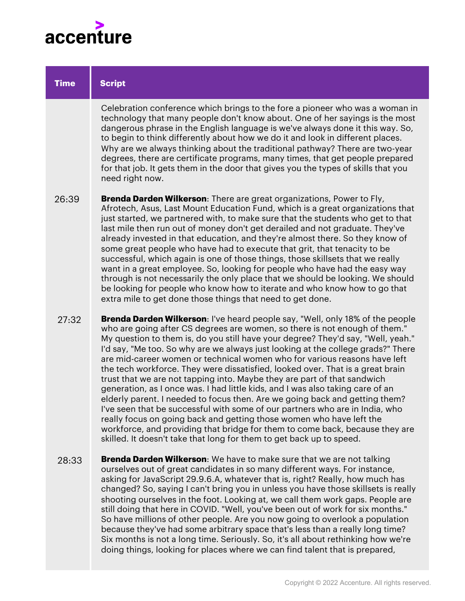

| <b>Time</b> | <b>Script</b>                                                                                                                                                                                                                                                                                                                                                                                                                                                                                                                                                                                                                                                                                                                                                                                                                                                                                                                                                                                                                                                          |
|-------------|------------------------------------------------------------------------------------------------------------------------------------------------------------------------------------------------------------------------------------------------------------------------------------------------------------------------------------------------------------------------------------------------------------------------------------------------------------------------------------------------------------------------------------------------------------------------------------------------------------------------------------------------------------------------------------------------------------------------------------------------------------------------------------------------------------------------------------------------------------------------------------------------------------------------------------------------------------------------------------------------------------------------------------------------------------------------|
|             | Celebration conference which brings to the fore a pioneer who was a woman in<br>technology that many people don't know about. One of her sayings is the most<br>dangerous phrase in the English language is we've always done it this way. So,<br>to begin to think differently about how we do it and look in different places.<br>Why are we always thinking about the traditional pathway? There are two-year<br>degrees, there are certificate programs, many times, that get people prepared<br>for that job. It gets them in the door that gives you the types of skills that you<br>need right now.                                                                                                                                                                                                                                                                                                                                                                                                                                                             |
| 26:39       | <b>Brenda Darden Wilkerson:</b> There are great organizations, Power to Fly,<br>Afrotech, Asus, Last Mount Education Fund, which is a great organizations that<br>just started, we partnered with, to make sure that the students who get to that<br>last mile then run out of money don't get derailed and not graduate. They've<br>already invested in that education, and they're almost there. So they know of<br>some great people who have had to execute that grit, that tenacity to be<br>successful, which again is one of those things, those skillsets that we really<br>want in a great employee. So, looking for people who have had the easy way<br>through is not necessarily the only place that we should be looking. We should<br>be looking for people who know how to iterate and who know how to go that<br>extra mile to get done those things that need to get done.                                                                                                                                                                            |
| 27:32       | <b>Brenda Darden Wilkerson:</b> I've heard people say, "Well, only 18% of the people<br>who are going after CS degrees are women, so there is not enough of them."<br>My question to them is, do you still have your degree? They'd say, "Well, yeah."<br>I'd say, "Me too. So why are we always just looking at the college grads?" There<br>are mid-career women or technical women who for various reasons have left<br>the tech workforce. They were dissatisfied, looked over. That is a great brain<br>trust that we are not tapping into. Maybe they are part of that sandwich<br>generation, as I once was. I had little kids, and I was also taking care of an<br>elderly parent. I needed to focus then. Are we going back and getting them?<br>I've seen that be successful with some of our partners who are in India, who<br>really focus on going back and getting those women who have left the<br>workforce, and providing that bridge for them to come back, because they are<br>skilled. It doesn't take that long for them to get back up to speed. |
| 28:33       | <b>Brenda Darden Wilkerson:</b> We have to make sure that we are not talking<br>ourselves out of great candidates in so many different ways. For instance,<br>asking for JavaScript 29.9.6.A, whatever that is, right? Really, how much has                                                                                                                                                                                                                                                                                                                                                                                                                                                                                                                                                                                                                                                                                                                                                                                                                            |

changed? So, saying I can't bring you in unless you have those skillsets is really shooting ourselves in the foot. Looking at, we call them work gaps. People are still doing that here in COVID. "Well, you've been out of work for six months." So have millions of other people. Are you now going to overlook a population because they've had some arbitrary space that's less than a really long time? Six months is not a long time. Seriously. So, it's all about rethinking how we're doing things, looking for places where we can find talent that is prepared,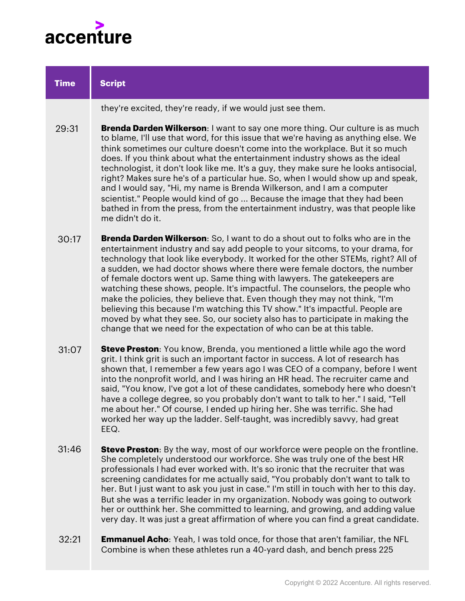

| <b>Time</b> | <b>Script</b>                                                                                                                                                                                                                                                                                                                                                                                                                                                                                                                                                                                                                                                                                                                                                                                                              |
|-------------|----------------------------------------------------------------------------------------------------------------------------------------------------------------------------------------------------------------------------------------------------------------------------------------------------------------------------------------------------------------------------------------------------------------------------------------------------------------------------------------------------------------------------------------------------------------------------------------------------------------------------------------------------------------------------------------------------------------------------------------------------------------------------------------------------------------------------|
|             | they're excited, they're ready, if we would just see them.                                                                                                                                                                                                                                                                                                                                                                                                                                                                                                                                                                                                                                                                                                                                                                 |
| 29:31       | Brenda Darden Wilkerson: I want to say one more thing. Our culture is as much<br>to blame, I'll use that word, for this issue that we're having as anything else. We<br>think sometimes our culture doesn't come into the workplace. But it so much<br>does. If you think about what the entertainment industry shows as the ideal<br>technologist, it don't look like me. It's a guy, they make sure he looks antisocial,<br>right? Makes sure he's of a particular hue. So, when I would show up and speak,<br>and I would say, "Hi, my name is Brenda Wilkerson, and I am a computer<br>scientist." People would kind of go  Because the image that they had been<br>bathed in from the press, from the entertainment industry, was that people like<br>me didn't do it.                                                |
| 30:17       | <b>Brenda Darden Wilkerson:</b> So, I want to do a shout out to folks who are in the<br>entertainment industry and say add people to your sitcoms, to your drama, for<br>technology that look like everybody. It worked for the other STEMs, right? All of<br>a sudden, we had doctor shows where there were female doctors, the number<br>of female doctors went up. Same thing with lawyers. The gatekeepers are<br>watching these shows, people. It's impactful. The counselors, the people who<br>make the policies, they believe that. Even though they may not think, "I'm<br>believing this because I'm watching this TV show." It's impactful. People are<br>moved by what they see. So, our society also has to participate in making the<br>change that we need for the expectation of who can be at this table. |
| 31:07       | <b>Steve Preston:</b> You know, Brenda, you mentioned a little while ago the word<br>grit. I think grit is such an important factor in success. A lot of research has<br>shown that, I remember a few years ago I was CEO of a company, before I went<br>into the nonprofit world, and I was hiring an HR head. The recruiter came and<br>said, "You know, I've got a lot of these candidates, somebody here who doesn't<br>have a college degree, so you probably don't want to talk to her." I said, "Tell<br>me about her." Of course, I ended up hiring her. She was terrific. She had<br>worked her way up the ladder. Self-taught, was incredibly savvy, had great<br>EEQ.                                                                                                                                           |
| 31:46       | Steve Preston: By the way, most of our workforce were people on the frontline.<br>She completely understood our workforce. She was truly one of the best HR<br>professionals I had ever worked with. It's so ironic that the recruiter that was<br>screening candidates for me actually said, "You probably don't want to talk to<br>her. But I just want to ask you just in case." I'm still in touch with her to this day.<br>But she was a terrific leader in my organization. Nobody was going to outwork<br>her or outthink her. She committed to learning, and growing, and adding value<br>very day. It was just a great affirmation of where you can find a great candidate.                                                                                                                                       |
| 30.01       | <b>Emmanuel Acho:</b> Yeah I was told once for those that aren't familiar the NFI                                                                                                                                                                                                                                                                                                                                                                                                                                                                                                                                                                                                                                                                                                                                          |

**Emmanuel Acho**: Yeah, I was told once, for those that aren't familiar, the NFL Combine is when these athletes run a 40-yard dash, and bench press 225 32:21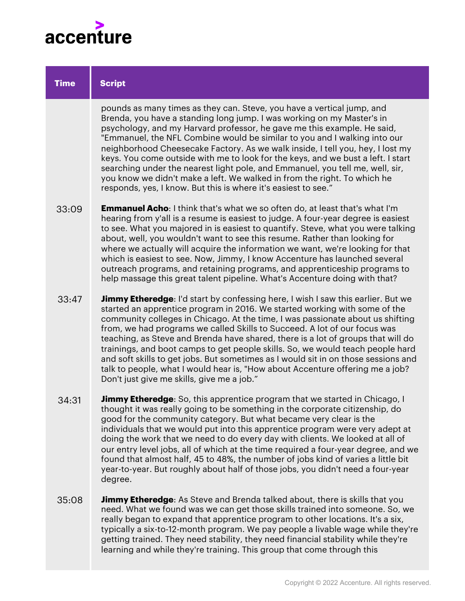

## pounds as many times as they can. Steve, you have a vertical jump, and Brenda, you have a standing long jump. I was working on my Master's in psychology, and my Harvard professor, he gave me this example. He said, "Emmanuel, the NFL Combine would be similar to you and I walking into our neighborhood Cheesecake Factory. As we walk inside, I tell you, hey, I lost my keys. You come outside with me to look for the keys, and we bust a left. I start searching under the nearest light pole, and Emmanuel, you tell me, well, sir, you know we didn't make a left. We walked in from the right. To which he responds, yes, I know. But this is where it's easiest to see." **Emmanuel Acho**: I think that's what we so often do, at least that's what I'm hearing from y'all is a resume is easiest to judge. A four-year degree is easiest to see. What you majored in is easiest to quantify. Steve, what you were talking about, well, you wouldn't want to see this resume. Rather than looking for where we actually will acquire the information we want, we're looking for that which is easiest to see. Now, Jimmy, I know Accenture has launched several outreach programs, and retaining programs, and apprenticeship programs to help massage this great talent pipeline. What's Accenture doing with that? **Jimmy Etheredge:** I'd start by confessing here, I wish I saw this earlier. But we started an apprentice program in 2016. We started working with some of the community colleges in Chicago. At the time, I was passionate about us shifting from, we had programs we called Skills to Succeed. A lot of our focus was teaching, as Steve and Brenda have shared, there is a lot of groups that will do trainings, and boot camps to get people skills. So, we would teach people hard and soft skills to get jobs. But sometimes as I would sit in on those sessions and talk to people, what I would hear is, "How about Accenture offering me a job? Don't just give me skills, give me a job." **Jimmy Etheredge**: So, this apprentice program that we started in Chicago, I thought it was really going to be something in the corporate citizenship, do good for the community category. But what became very clear is the individuals that we would put into this apprentice program were very adept at doing the work that we need to do every day with clients. We looked at all of our entry level jobs, all of which at the time required a four-year degree, and we found that almost half, 45 to 48%, the number of jobs kind of varies a little bit year-to-year. But roughly about half of those jobs, you didn't need a four-year degree. **Jimmy Etheredge**: As Steve and Brenda talked about, there is skills that you need. What we found was we can get those skills trained into someone. So, we **Script Time** 33:09 33:47 34:31 35:08

really began to expand that apprentice program to other locations. It's a six, typically a six-to-12-month program. We pay people a livable wage while they're getting trained. They need stability, they need financial stability while they're learning and while they're training. This group that come through this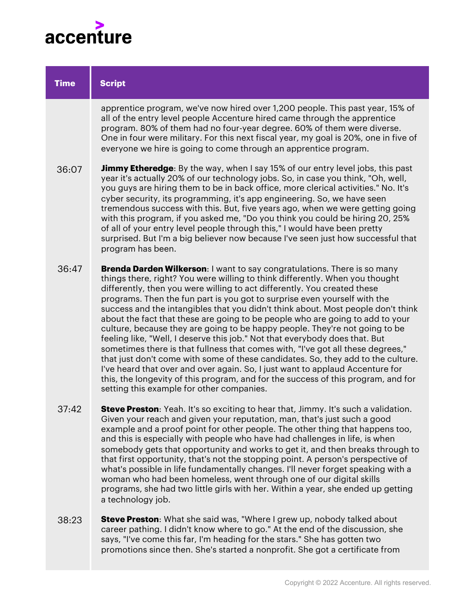

| <b>Time</b> | <b>Script</b>                                                                                                                                                                                                                                                                                                                                                                                                                                                                                                                                                                                                                                                                                                                                                                                                                                                                                                                                                                                                                                         |
|-------------|-------------------------------------------------------------------------------------------------------------------------------------------------------------------------------------------------------------------------------------------------------------------------------------------------------------------------------------------------------------------------------------------------------------------------------------------------------------------------------------------------------------------------------------------------------------------------------------------------------------------------------------------------------------------------------------------------------------------------------------------------------------------------------------------------------------------------------------------------------------------------------------------------------------------------------------------------------------------------------------------------------------------------------------------------------|
|             | apprentice program, we've now hired over 1,200 people. This past year, 15% of<br>all of the entry level people Accenture hired came through the apprentice<br>program. 80% of them had no four-year degree. 60% of them were diverse.<br>One in four were military. For this next fiscal year, my goal is 20%, one in five of<br>everyone we hire is going to come through an apprentice program.                                                                                                                                                                                                                                                                                                                                                                                                                                                                                                                                                                                                                                                     |
| 36:07       | <b>Jimmy Etheredge</b> : By the way, when I say 15% of our entry level jobs, this past<br>year it's actually 20% of our technology jobs. So, in case you think, "Oh, well,<br>you guys are hiring them to be in back office, more clerical activities." No. It's<br>cyber security, its programming, it's app engineering. So, we have seen<br>tremendous success with this. But, five years ago, when we were getting going<br>with this program, if you asked me, "Do you think you could be hiring 20, 25%<br>of all of your entry level people through this," I would have been pretty<br>surprised. But I'm a big believer now because I've seen just how successful that<br>program has been.                                                                                                                                                                                                                                                                                                                                                   |
| 36:47       | <b>Brenda Darden Wilkerson: I want to say congratulations. There is so many</b><br>things there, right? You were willing to think differently. When you thought<br>differently, then you were willing to act differently. You created these<br>programs. Then the fun part is you got to surprise even yourself with the<br>success and the intangibles that you didn't think about. Most people don't think<br>about the fact that these are going to be people who are going to add to your<br>culture, because they are going to be happy people. They're not going to be<br>feeling like, "Well, I deserve this job." Not that everybody does that. But<br>sometimes there is that fullness that comes with, "I've got all these degrees,"<br>that just don't come with some of these candidates. So, they add to the culture.<br>I've heard that over and over again. So, I just want to applaud Accenture for<br>this, the longevity of this program, and for the success of this program, and for<br>setting this example for other companies. |
| 37:42       | Steve Preston: Yeah. It's so exciting to hear that, Jimmy. It's such a validation.<br>Given your reach and given your reputation, man, that's just such a good<br>example and a proof point for other people. The other thing that happens too,<br>and this is especially with people who have had challenges in life, is when<br>somebody gets that opportunity and works to get it, and then breaks through to<br>that first opportunity, that's not the stopping point. A person's perspective of<br>what's possible in life fundamentally changes. I'll never forget speaking with a<br>woman who had been homeless, went through one of our digital skills<br>programs, she had two little girls with her. Within a year, she ended up getting<br>a technology job.                                                                                                                                                                                                                                                                              |

**Steve Preston**: What she said was, "Where I grew up, nobody talked about career pathing. I didn't know where to go." At the end of the discussion, she says, "I've come this far, I'm heading for the stars." She has gotten two promotions since then. She's started a nonprofit. She got a certificate from 38:23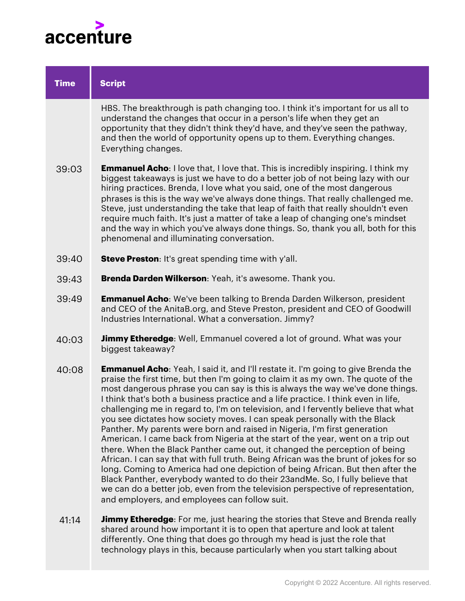

| <b>Time</b> | <b>Script</b>                                                                                                                                                                                                                                                                                                                                                                                                                                                                                                                                                                                                                                                                                                                                                                                                                                                                                                                                                                                                                                                                                                                                                        |
|-------------|----------------------------------------------------------------------------------------------------------------------------------------------------------------------------------------------------------------------------------------------------------------------------------------------------------------------------------------------------------------------------------------------------------------------------------------------------------------------------------------------------------------------------------------------------------------------------------------------------------------------------------------------------------------------------------------------------------------------------------------------------------------------------------------------------------------------------------------------------------------------------------------------------------------------------------------------------------------------------------------------------------------------------------------------------------------------------------------------------------------------------------------------------------------------|
|             | HBS. The breakthrough is path changing too. I think it's important for us all to<br>understand the changes that occur in a person's life when they get an<br>opportunity that they didn't think they'd have, and they've seen the pathway,<br>and then the world of opportunity opens up to them. Everything changes.<br>Everything changes.                                                                                                                                                                                                                                                                                                                                                                                                                                                                                                                                                                                                                                                                                                                                                                                                                         |
| 39:03       | <b>Emmanuel Acho:</b> I love that, I love that. This is incredibly inspiring. I think my<br>biggest takeaways is just we have to do a better job of not being lazy with our<br>hiring practices. Brenda, I love what you said, one of the most dangerous<br>phrases is this is the way we've always done things. That really challenged me.<br>Steve, just understanding the take that leap of faith that really shouldn't even<br>require much faith. It's just a matter of take a leap of changing one's mindset<br>and the way in which you've always done things. So, thank you all, both for this<br>phenomenal and illuminating conversation.                                                                                                                                                                                                                                                                                                                                                                                                                                                                                                                  |
| 39:40       | <b>Steve Preston:</b> It's great spending time with y'all.                                                                                                                                                                                                                                                                                                                                                                                                                                                                                                                                                                                                                                                                                                                                                                                                                                                                                                                                                                                                                                                                                                           |
| 39:43       | Brenda Darden Wilkerson: Yeah, it's awesome. Thank you.                                                                                                                                                                                                                                                                                                                                                                                                                                                                                                                                                                                                                                                                                                                                                                                                                                                                                                                                                                                                                                                                                                              |
| 39:49       | <b>Emmanuel Acho:</b> We've been talking to Brenda Darden Wilkerson, president<br>and CEO of the AnitaB.org, and Steve Preston, president and CEO of Goodwill<br>Industries International. What a conversation. Jimmy?                                                                                                                                                                                                                                                                                                                                                                                                                                                                                                                                                                                                                                                                                                                                                                                                                                                                                                                                               |
| 40:03       | <b>Jimmy Etheredge:</b> Well, Emmanuel covered a lot of ground. What was your<br>biggest takeaway?                                                                                                                                                                                                                                                                                                                                                                                                                                                                                                                                                                                                                                                                                                                                                                                                                                                                                                                                                                                                                                                                   |
| 40:08       | <b>Emmanuel Acho:</b> Yeah, I said it, and I'll restate it. I'm going to give Brenda the<br>praise the first time, but then I'm going to claim it as my own. The quote of the<br>most dangerous phrase you can say is this is always the way we've done things.<br>I think that's both a business practice and a life practice. I think even in life,<br>challenging me in regard to, I'm on television, and I fervently believe that what<br>you see dictates how society moves. I can speak personally with the Black<br>Panther. My parents were born and raised in Nigeria, I'm first generation<br>American. I came back from Nigeria at the start of the year, went on a trip out<br>there. When the Black Panther came out, it changed the perception of being<br>African. I can say that with full truth. Being African was the brunt of jokes for so<br>long. Coming to America had one depiction of being African. But then after the<br>Black Panther, everybody wanted to do their 23andMe. So, I fully believe that<br>we can do a better job, even from the television perspective of representation,<br>and employers, and employees can follow suit. |
| 41:14       | <b>Jimmy Etheredge:</b> For me, just hearing the stories that Steve and Brenda really<br>charad around how important it is to open that eperture and look at telept                                                                                                                                                                                                                                                                                                                                                                                                                                                                                                                                                                                                                                                                                                                                                                                                                                                                                                                                                                                                  |

shared around how important it is to open that aperture and look at talent differently. One thing that does go through my head is just the role that technology plays in this, because particularly when you start talking about